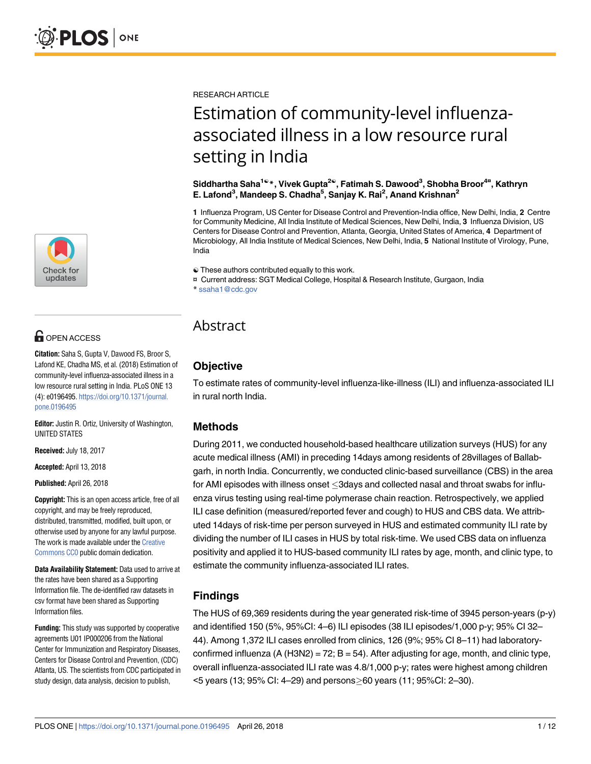

# **OPEN ACCESS**

**Citation:** Saha S, Gupta V, Dawood FS, Broor S, Lafond KE, Chadha MS, et al. (2018) Estimation of community-level influenza-associated illness in a low resource rural setting in India. PLoS ONE 13 (4): e0196495. [https://doi.org/10.1371/journal.](https://doi.org/10.1371/journal.pone.0196495) [pone.0196495](https://doi.org/10.1371/journal.pone.0196495)

**Editor:** Justin R. Ortiz, University of Washington, UNITED STATES

**Received:** July 18, 2017

**Accepted:** April 13, 2018

**Published:** April 26, 2018

**Copyright:** This is an open access article, free of all copyright, and may be freely reproduced, distributed, transmitted, modified, built upon, or otherwise used by anyone for any lawful purpose. The work is made available under the [Creative](https://creativecommons.org/publicdomain/zero/1.0/) [Commons CC0](https://creativecommons.org/publicdomain/zero/1.0/) public domain dedication.

**Data Availability Statement:** Data used to arrive at the rates have been shared as a Supporting Information file. The de-identified raw datasets in csv format have been shared as Supporting Information files.

**Funding:** This study was supported by cooperative agreements U01 IP000206 from the National Center for Immunization and Respiratory Diseases, Centers for Disease Control and Prevention, (CDC) Atlanta, US. The scientists from CDC participated in study design, data analysis, decision to publish,

RESEARCH ARTICLE

# Estimation of community-level influenzaassociated illness in a low resource rural setting in India

#### **Siddhartha Saha1**☯**\*, Vivek Gupta2**☯ **, Fatimah S. Dawood<sup>3</sup> , Shobha Broor4¤ , Kathryn E. Lafond<sup>3</sup> , Mandeep S. Chadha<sup>5</sup> , Sanjay K. Rai<sup>2</sup> , Anand Krishnan<sup>2</sup>**

**1** Influenza Program, US Center for Disease Control and Prevention-India office, New Delhi, India, **2** Centre for Community Medicine, All India Institute of Medical Sciences, New Delhi, India, **3** Influenza Division, US Centers for Disease Control and Prevention, Atlanta, Georgia, United States of America, **4** Department of Microbiology, All India Institute of Medical Sciences, New Delhi, India, **5** National Institute of Virology, Pune, India

- ☯ These authors contributed equally to this work.
- ¤ Current address: SGT Medical College, Hospital & Research Institute, Gurgaon, India
- \* ssaha1@cdc.gov

# Abstract

#### **Objective**

To estimate rates of community-level influenza-like-illness (ILI) and influenza-associated ILI in rural north India.

#### **Methods**

During 2011, we conducted household-based healthcare utilization surveys (HUS) for any acute medical illness (AMI) in preceding 14days among residents of 28villages of Ballabgarh, in north India. Concurrently, we conducted clinic-based surveillance (CBS) in the area for AMI episodes with illness onset  $\leq$ 3days and collected nasal and throat swabs for influenza virus testing using real-time polymerase chain reaction. Retrospectively, we applied ILI case definition (measured/reported fever and cough) to HUS and CBS data. We attributed 14days of risk-time per person surveyed in HUS and estimated community ILI rate by dividing the number of ILI cases in HUS by total risk-time. We used CBS data on influenza positivity and applied it to HUS-based community ILI rates by age, month, and clinic type, to estimate the community influenza-associated ILI rates.

## **Findings**

The HUS of 69,369 residents during the year generated risk-time of 3945 person-years (p-y) and identified 150 (5%, 95%CI: 4–6) ILI episodes (38 ILI episodes/1,000 p-y; 95% CI 32– 44). Among 1,372 ILI cases enrolled from clinics, 126 (9%; 95% CI 8–11) had laboratoryconfirmed influenza  $(A (H3N2) = 72; B = 54)$ . After adjusting for age, month, and clinic type, overall influenza-associated ILI rate was 4.8/1,000 p-y; rates were highest among children  $\le$  5 years (13; 95% CI: 4–29) and persons $\ge$  60 years (11; 95%CI: 2–30).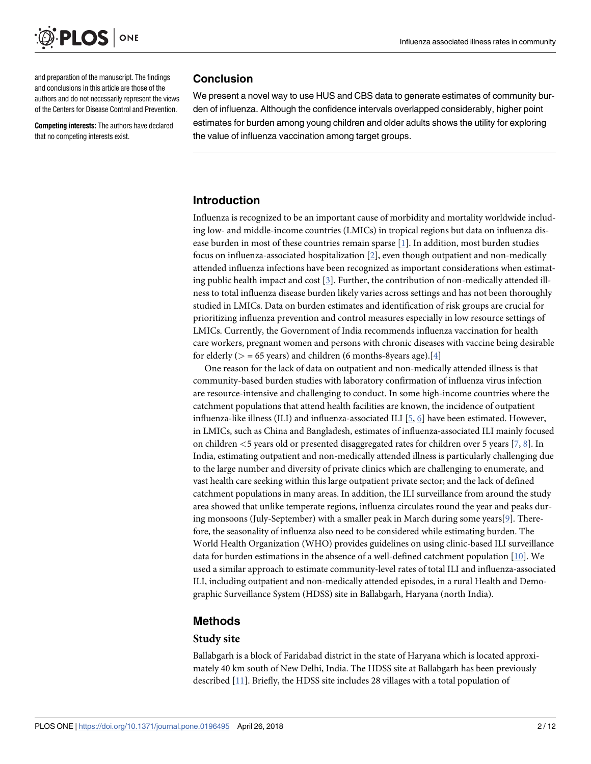<span id="page-1-0"></span>

and preparation of the manuscript. The findings and conclusions in this article are those of the authors and do not necessarily represent the views of the Centers for Disease Control and Prevention.

**Competing interests:** The authors have declared that no competing interests exist.

#### **Conclusion**

We present a novel way to use HUS and CBS data to generate estimates of community burden of influenza. Although the confidence intervals overlapped considerably, higher point estimates for burden among young children and older adults shows the utility for exploring the value of influenza vaccination among target groups.

#### **Introduction**

Influenza is recognized to be an important cause of morbidity and mortality worldwide including low- and middle-income countries (LMICs) in tropical regions but data on influenza disease burden in most of these countries remain sparse  $[1]$  $[1]$  $[1]$ . In addition, most burden studies focus on influenza-associated hospitalization [[2](#page-10-0)], even though outpatient and non-medically attended influenza infections have been recognized as important considerations when estimating public health impact and cost  $[3]$  $[3]$ . Further, the contribution of non-medically attended illness to total influenza disease burden likely varies across settings and has not been thoroughly studied in LMICs. Data on burden estimates and identification of risk groups are crucial for prioritizing influenza prevention and control measures especially in low resource settings of LMICs. Currently, the Government of India recommends influenza vaccination for health care workers, pregnant women and persons with chronic diseases with vaccine being desirable for elderly ( $>$  = 65 years) and children (6 months-8years age).[ $\underline{4}$ ]

One reason for the lack of data on outpatient and non-medically attended illness is that community-based burden studies with laboratory confirmation of influenza virus infection are resource-intensive and challenging to conduct. In some high-income countries where the catchment populations that attend health facilities are known, the incidence of outpatient influenza-like illness (ILI) and influenza-associated ILI [\[5,](#page-10-0) [6](#page-10-0)] have been estimated. However, in LMICs, such as China and Bangladesh, estimates of influenza-associated ILI mainly focused on children *<*5 years old or presented disaggregated rates for children over 5 years [[7,](#page-10-0) [8\]](#page-10-0). In India, estimating outpatient and non-medically attended illness is particularly challenging due to the large number and diversity of private clinics which are challenging to enumerate, and vast health care seeking within this large outpatient private sector; and the lack of defined catchment populations in many areas. In addition, the ILI surveillance from around the study area showed that unlike temperate regions, influenza circulates round the year and peaks dur-ing monsoons (July-September) with a smaller peak in March during some years[[9](#page-10-0)]. Therefore, the seasonality of influenza also need to be considered while estimating burden. The World Health Organization (WHO) provides guidelines on using clinic-based ILI surveillance data for burden estimations in the absence of a well-defined catchment population  $[10]$  $[10]$  $[10]$ . We used a similar approach to estimate community-level rates of total ILI and influenza-associated ILI, including outpatient and non-medically attended episodes, in a rural Health and Demographic Surveillance System (HDSS) site in Ballabgarh, Haryana (north India).

#### **Methods**

#### **Study site**

Ballabgarh is a block of Faridabad district in the state of Haryana which is located approximately 40 km south of New Delhi, India. The HDSS site at Ballabgarh has been previously described [[11](#page-10-0)]. Briefly, the HDSS site includes 28 villages with a total population of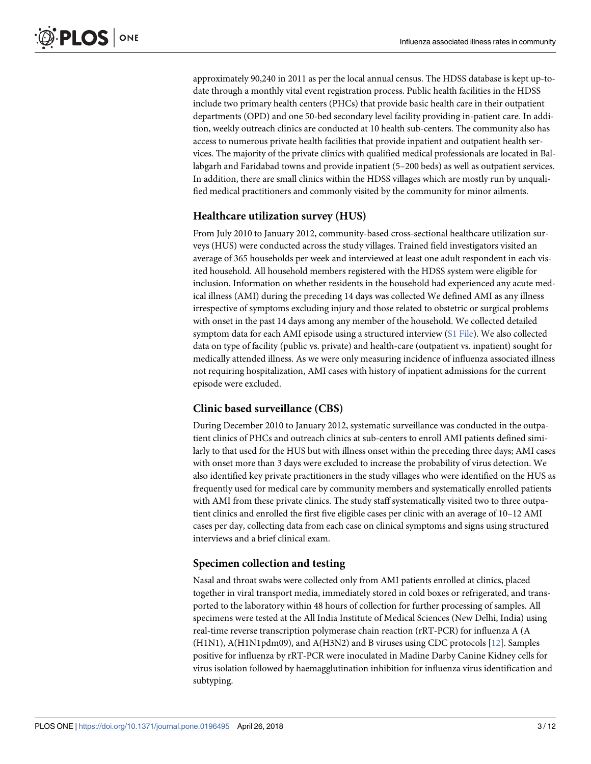<span id="page-2-0"></span>approximately 90,240 in 2011 as per the local annual census. The HDSS database is kept up-todate through a monthly vital event registration process. Public health facilities in the HDSS include two primary health centers (PHCs) that provide basic health care in their outpatient departments (OPD) and one 50-bed secondary level facility providing in-patient care. In addition, weekly outreach clinics are conducted at 10 health sub-centers. The community also has access to numerous private health facilities that provide inpatient and outpatient health services. The majority of the private clinics with qualified medical professionals are located in Ballabgarh and Faridabad towns and provide inpatient (5–200 beds) as well as outpatient services. In addition, there are small clinics within the HDSS villages which are mostly run by unqualified medical practitioners and commonly visited by the community for minor ailments.

#### **Healthcare utilization survey (HUS)**

From July 2010 to January 2012, community-based cross-sectional healthcare utilization surveys (HUS) were conducted across the study villages. Trained field investigators visited an average of 365 households per week and interviewed at least one adult respondent in each visited household. All household members registered with the HDSS system were eligible for inclusion. Information on whether residents in the household had experienced any acute medical illness (AMI) during the preceding 14 days was collected We defined AMI as any illness irrespective of symptoms excluding injury and those related to obstetric or surgical problems with onset in the past 14 days among any member of the household. We collected detailed symptom data for each AMI episode using a structured interview [\(S1 File](#page-9-0)). We also collected data on type of facility (public vs. private) and health-care (outpatient vs. inpatient) sought for medically attended illness. As we were only measuring incidence of influenza associated illness not requiring hospitalization, AMI cases with history of inpatient admissions for the current episode were excluded.

#### **Clinic based surveillance (CBS)**

During December 2010 to January 2012, systematic surveillance was conducted in the outpatient clinics of PHCs and outreach clinics at sub-centers to enroll AMI patients defined similarly to that used for the HUS but with illness onset within the preceding three days; AMI cases with onset more than 3 days were excluded to increase the probability of virus detection. We also identified key private practitioners in the study villages who were identified on the HUS as frequently used for medical care by community members and systematically enrolled patients with AMI from these private clinics. The study staff systematically visited two to three outpatient clinics and enrolled the first five eligible cases per clinic with an average of 10–12 AMI cases per day, collecting data from each case on clinical symptoms and signs using structured interviews and a brief clinical exam.

#### **Specimen collection and testing**

Nasal and throat swabs were collected only from AMI patients enrolled at clinics, placed together in viral transport media, immediately stored in cold boxes or refrigerated, and transported to the laboratory within 48 hours of collection for further processing of samples. All specimens were tested at the All India Institute of Medical Sciences (New Delhi, India) using real-time reverse transcription polymerase chain reaction (rRT-PCR) for influenza A (A (H1N1), A(H1N1pdm09), and A(H3N2) and B viruses using CDC protocols [\[12\]](#page-10-0). Samples positive for influenza by rRT-PCR were inoculated in Madine Darby Canine Kidney cells for virus isolation followed by haemagglutination inhibition for influenza virus identification and subtyping.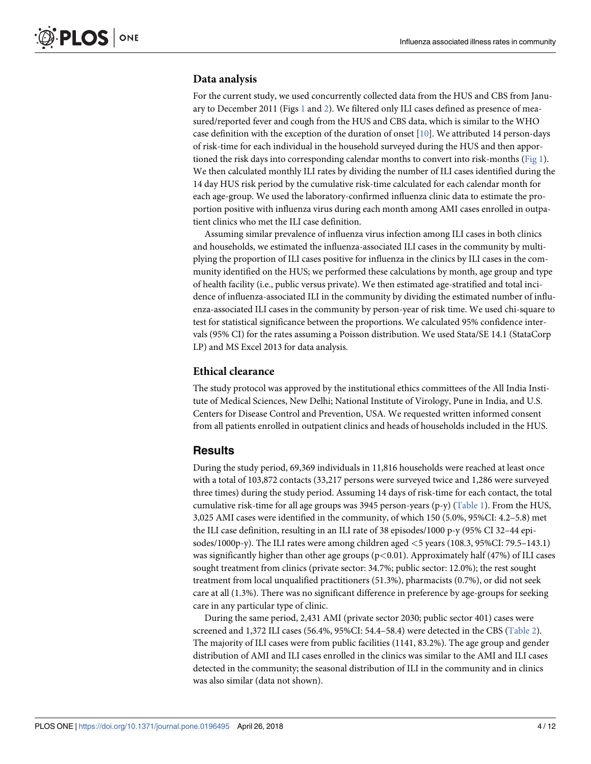#### <span id="page-3-0"></span>**Data analysis**

For the current study, we used concurrently collected data from the HUS and CBS from Janu-ary to December 20[1](#page-5-0)1 (Figs 1 and [2\)](#page-7-0). We filtered only ILI cases defined as presence of measured/reported fever and cough from the HUS and CBS data, which is similar to the WHO case definition with the exception of the duration of onset [[10](#page-10-0)]. We attributed 14 person-days of risk-time for each individual in the household surveyed during the HUS and then appor-tioned the risk days into corresponding calendar months to convert into risk-months ([Fig 1](#page-5-0)). We then calculated monthly ILI rates by dividing the number of ILI cases identified during the 14 day HUS risk period by the cumulative risk-time calculated for each calendar month for each age-group. We used the laboratory-confirmed influenza clinic data to estimate the proportion positive with influenza virus during each month among AMI cases enrolled in outpatient clinics who met the ILI case definition.

Assuming similar prevalence of influenza virus infection among ILI cases in both clinics and households, we estimated the influenza-associated ILI cases in the community by multiplying the proportion of ILI cases positive for influenza in the clinics by ILI cases in the community identified on the HUS; we performed these calculations by month, age group and type of health facility (i.e., public versus private). We then estimated age-stratified and total incidence of influenza-associated ILI in the community by dividing the estimated number of influenza-associated ILI cases in the community by person-year of risk time. We used chi-square to test for statistical significance between the proportions. We calculated 95% confidence intervals (95% CI) for the rates assuming a Poisson distribution. We used Stata/SE 14.1 (StataCorp LP) and MS Excel 2013 for data analysis.

#### **Ethical clearance**

The study protocol was approved by the institutional ethics committees of the All India Institute of Medical Sciences, New Delhi; National Institute of Virology, Pune in India, and U.S. Centers for Disease Control and Prevention, USA. We requested written informed consent from all patients enrolled in outpatient clinics and heads of households included in the HUS.

#### **Results**

During the study period, 69,369 individuals in 11,816 households were reached at least once with a total of 103,872 contacts (33,217 persons were surveyed twice and 1,286 were surveyed three times) during the study period. Assuming 14 days of risk-time for each contact, the total cumulative risk-time for all age groups was 3945 person-years (p-y) ([Table 1](#page-7-0)). From the HUS, 3,025 AMI cases were identified in the community, of which 150 (5.0%, 95%CI: 4.2–5.8) met the ILI case definition, resulting in an ILI rate of 38 episodes/1000 p-y (95% CI 32–44 episodes/1000p-y). The ILI rates were among children aged *<*5 years (108.3, 95%CI: 79.5–143.1) was significantly higher than other age groups (p*<*0.01). Approximately half (47%) of ILI cases sought treatment from clinics (private sector: 34.7%; public sector: 12.0%); the rest sought treatment from local unqualified practitioners (51.3%), pharmacists (0.7%), or did not seek care at all (1.3%). There was no significant difference in preference by age-groups for seeking care in any particular type of clinic.

During the same period, 2,431 AMI (private sector 2030; public sector 401) cases were screened and 1,372 ILI cases (56.4%, 95%CI: 54.4–58.4) were detected in the CBS ([Table 2\)](#page-8-0). The majority of ILI cases were from public facilities (1141, 83.2%). The age group and gender distribution of AMI and ILI cases enrolled in the clinics was similar to the AMI and ILI cases detected in the community; the seasonal distribution of ILI in the community and in clinics was also similar (data not shown).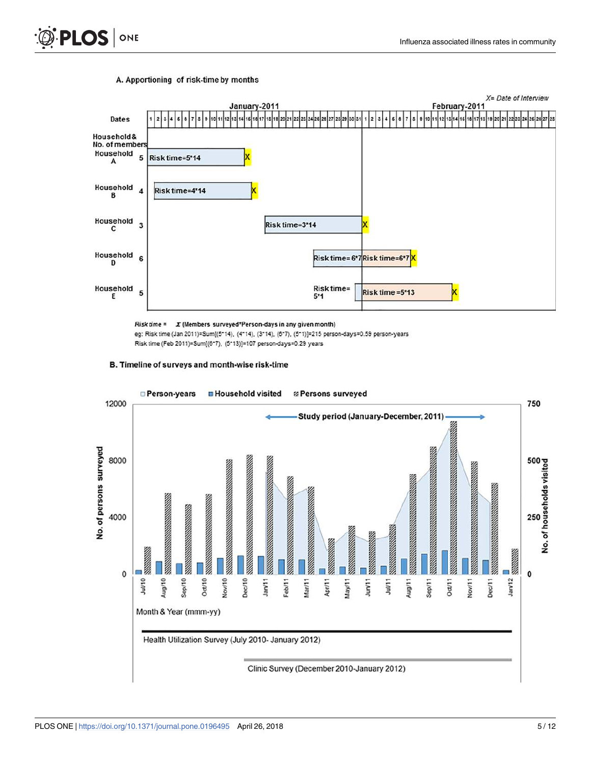

#### A. Apportioning of risk-time by months

Risk time =  $\qquad \qquad \mathcal{I}$  (Members surveyed\*Person-days in any given month) eg: Risk time (Jan 2011)=Sum[(5\*14), (4\*14), (3\*14), (6\*7), (5\*1)]=215 person-days=0.59 person-years Risk time (Feb 2011)=Sum[(6\*7), (5\*13)]=107 person-days=0.29 years



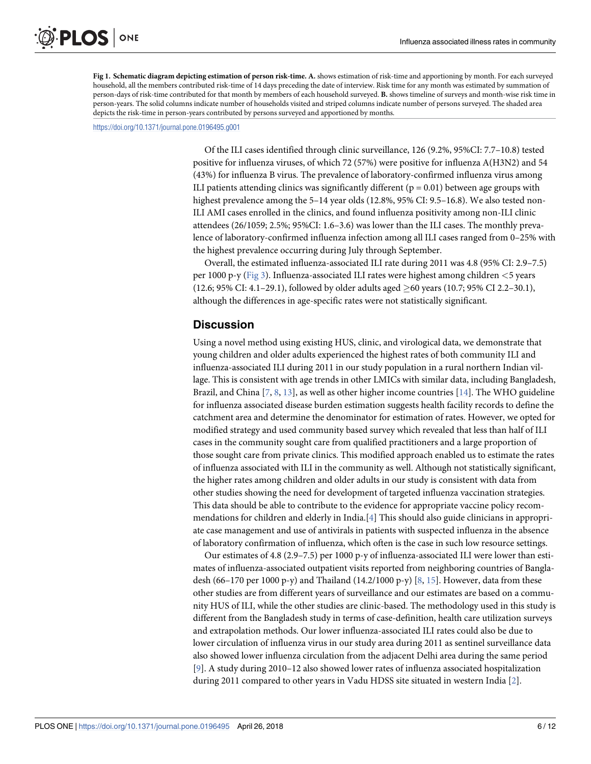<span id="page-5-0"></span>**[Fig 1.](#page-3-0) Schematic diagram depicting estimation of person risk-time. A.** shows estimation of risk-time and apportioning by month. For each surveyed household, all the members contributed risk-time of 14 days preceding the date of interview. Risk time for any month was estimated by summation of person-days of risk-time contributed for that month by members of each household surveyed. **B.** shows timeline of surveys and month-wise risk time in person-years. The solid columns indicate number of households visited and striped columns indicate number of persons surveyed. The shaded area depicts the risk-time in person-years contributed by persons surveyed and apportioned by months.

<https://doi.org/10.1371/journal.pone.0196495.g001>

Of the ILI cases identified through clinic surveillance, 126 (9.2%, 95%CI: 7.7–10.8) tested positive for influenza viruses, of which 72 (57%) were positive for influenza A(H3N2) and 54 (43%) for influenza B virus. The prevalence of laboratory-confirmed influenza virus among ILI patients attending clinics was significantly different ( $p = 0.01$ ) between age groups with highest prevalence among the 5-14 year olds (12.8%, 95% CI: 9.5-16.8). We also tested non-ILI AMI cases enrolled in the clinics, and found influenza positivity among non-ILI clinic attendees (26/1059; 2.5%; 95%CI: 1.6–3.6) was lower than the ILI cases. The monthly prevalence of laboratory-confirmed influenza infection among all ILI cases ranged from 0–25% with the highest prevalence occurring during July through September.

Overall, the estimated influenza-associated ILI rate during 2011 was 4.8 (95% CI: 2.9–7.5) per 1000 p-y [\(Fig 3\)](#page-8-0). Influenza-associated ILI rates were highest among children *<*5 years  $(12.6; 95\% \text{ CI: } 4.1-29.1)$ , followed by older adults aged  $\geq 60$  years (10.7; 95% CI 2.2-30.1), although the differences in age-specific rates were not statistically significant.

#### **Discussion**

Using a novel method using existing HUS, clinic, and virological data, we demonstrate that young children and older adults experienced the highest rates of both community ILI and influenza-associated ILI during 2011 in our study population in a rural northern Indian village. This is consistent with age trends in other LMICs with similar data, including Bangladesh, Brazil, and China  $[7, 8, 13]$  $[7, 8, 13]$  $[7, 8, 13]$  $[7, 8, 13]$  $[7, 8, 13]$  $[7, 8, 13]$ , as well as other higher income countries  $[14]$  $[14]$  $[14]$ . The WHO guideline for influenza associated disease burden estimation suggests health facility records to define the catchment area and determine the denominator for estimation of rates. However, we opted for modified strategy and used community based survey which revealed that less than half of ILI cases in the community sought care from qualified practitioners and a large proportion of those sought care from private clinics. This modified approach enabled us to estimate the rates of influenza associated with ILI in the community as well. Although not statistically significant, the higher rates among children and older adults in our study is consistent with data from other studies showing the need for development of targeted influenza vaccination strategies. This data should be able to contribute to the evidence for appropriate vaccine policy recommendations for children and elderly in India.[[4](#page-10-0)] This should also guide clinicians in appropriate case management and use of antivirals in patients with suspected influenza in the absence of laboratory confirmation of influenza, which often is the case in such low resource settings.

Our estimates of 4.8 (2.9–7.5) per 1000 p-y of influenza-associated ILI were lower than estimates of influenza-associated outpatient visits reported from neighboring countries of Bangla-desh (66–170 per 1000 p-y) and Thailand (14.2/1000 p-y) [[8](#page-10-0), [15](#page-10-0)]. However, data from these other studies are from different years of surveillance and our estimates are based on a community HUS of ILI, while the other studies are clinic-based. The methodology used in this study is different from the Bangladesh study in terms of case-definition, health care utilization surveys and extrapolation methods. Our lower influenza-associated ILI rates could also be due to lower circulation of influenza virus in our study area during 2011 as sentinel surveillance data also showed lower influenza circulation from the adjacent Delhi area during the same period [\[9](#page-10-0)]. A study during 2010–12 also showed lower rates of influenza associated hospitalization during 2011 compared to other years in Vadu HDSS site situated in western India [\[2\]](#page-10-0).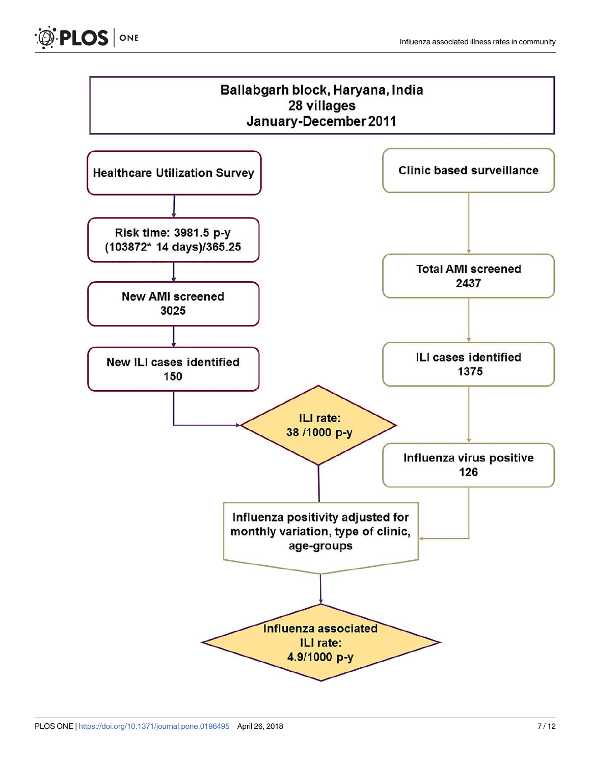

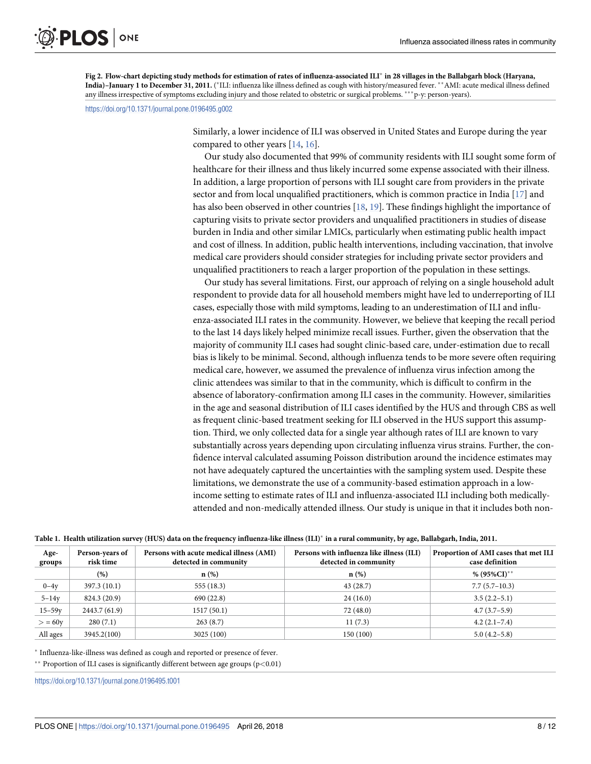<span id="page-7-0"></span>**[Fig 2.](#page-3-0) Flow-chart depicting study methods for estimation of rates of influenza-associated ILI in 28 villages in the Ballabgarh block (Haryana,** India)–January 1 to December 31, 2011. (\*ILI: influenza like illness defined as cough with history/measured fever. \*\*AMI: acute medical illness defined any illness irrespective of symptoms excluding injury and those related to obstetric or surgical problems. \*\*\* p-y: person-years).

<https://doi.org/10.1371/journal.pone.0196495.g002>

Similarly, a lower incidence of ILI was observed in United States and Europe during the year compared to other years [\[14,](#page-10-0) [16\]](#page-11-0).

Our study also documented that 99% of community residents with ILI sought some form of healthcare for their illness and thus likely incurred some expense associated with their illness. In addition, a large proportion of persons with ILI sought care from providers in the private sector and from local unqualified practitioners, which is common practice in India [[17](#page-11-0)] and has also been observed in other countries  $[18, 19]$  $[18, 19]$  $[18, 19]$  $[18, 19]$ . These findings highlight the importance of capturing visits to private sector providers and unqualified practitioners in studies of disease burden in India and other similar LMICs, particularly when estimating public health impact and cost of illness. In addition, public health interventions, including vaccination, that involve medical care providers should consider strategies for including private sector providers and unqualified practitioners to reach a larger proportion of the population in these settings.

Our study has several limitations. First, our approach of relying on a single household adult respondent to provide data for all household members might have led to underreporting of ILI cases, especially those with mild symptoms, leading to an underestimation of ILI and influenza-associated ILI rates in the community. However, we believe that keeping the recall period to the last 14 days likely helped minimize recall issues. Further, given the observation that the majority of community ILI cases had sought clinic-based care, under-estimation due to recall bias is likely to be minimal. Second, although influenza tends to be more severe often requiring medical care, however, we assumed the prevalence of influenza virus infection among the clinic attendees was similar to that in the community, which is difficult to confirm in the absence of laboratory-confirmation among ILI cases in the community. However, similarities in the age and seasonal distribution of ILI cases identified by the HUS and through CBS as well as frequent clinic-based treatment seeking for ILI observed in the HUS support this assumption. Third, we only collected data for a single year although rates of ILI are known to vary substantially across years depending upon circulating influenza virus strains. Further, the confidence interval calculated assuming Poisson distribution around the incidence estimates may not have adequately captured the uncertainties with the sampling system used. Despite these limitations, we demonstrate the use of a community-based estimation approach in a lowincome setting to estimate rates of ILI and influenza-associated ILI including both medicallyattended and non-medically attended illness. Our study is unique in that it includes both non-

| Table 1. Health utilization survey (HUS) data on the frequency influenza-like illness (ILI)* in a rural community, by age, Ballabgarh, India, 2011. |  |  |  |  |
|-----------------------------------------------------------------------------------------------------------------------------------------------------|--|--|--|--|
|                                                                                                                                                     |  |  |  |  |

| Age-<br>groups | Persons with acute medical illness (AMI)<br>Person-years of<br>detected in community<br>risk time |            | Persons with influenza like illness (ILI)<br>detected in community | Proportion of AMI cases that met ILI<br>case definition |  |
|----------------|---------------------------------------------------------------------------------------------------|------------|--------------------------------------------------------------------|---------------------------------------------------------|--|
|                | (%)                                                                                               | n(%)       | $n$ (%)                                                            | % $(95\%CI)*$                                           |  |
| $0-4y$         | 397.3 (10.1)                                                                                      | 555(18.3)  | 43(28.7)                                                           | $7.7(5.7-10.3)$                                         |  |
| $5-14y$        | 824.3 (20.9)                                                                                      | 690 (22.8) | 24(16.0)                                                           | $3.5(2.2-5.1)$                                          |  |
| $15 - 59y$     | 2443.7 (61.9)                                                                                     | 1517(50.1) | 72 (48.0)                                                          | $4.7(3.7-5.9)$                                          |  |
| $>$ = 60y      | 280(7.1)                                                                                          | 263(8.7)   | 11(7.3)                                                            | $4.2(2.1-7.4)$                                          |  |
| All ages       | 3945.2(100)                                                                                       | 3025(100)  | 150(100)                                                           | $5.0(4.2-5.8)$                                          |  |

\* Influenza-like-illness was defined as cough and reported or presence of fever.

Proportion of ILI cases is significantly different between age groups (p*<*0.01)

<https://doi.org/10.1371/journal.pone.0196495.t001>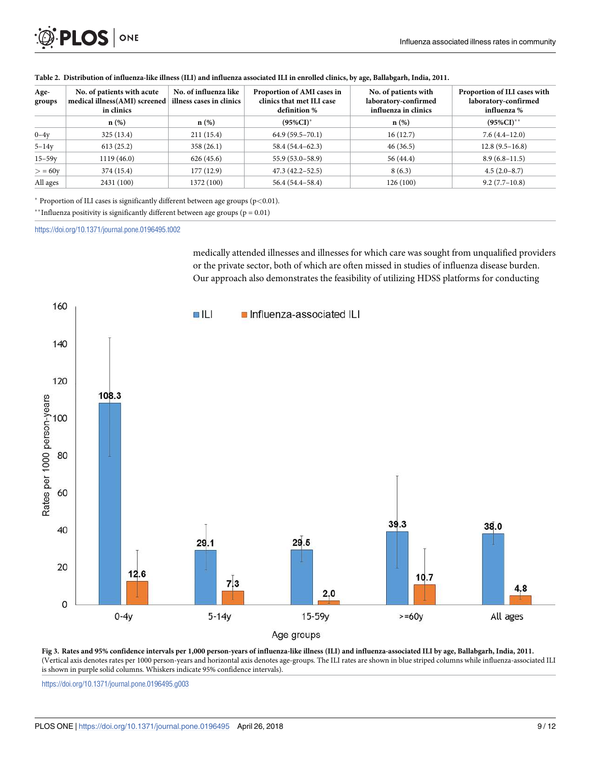| Age-<br>groups | No. of patients with acute<br>medical illness(AMI) screened<br>in clinics | No. of influenza like<br>illness cases in clinics | Proportion of AMI cases in<br>clinics that met ILI case<br>definition % | No. of patients with<br>laboratory-confirmed<br>influenza in clinics | Proportion of ILI cases with<br>laboratory-confirmed<br>influenza % |
|----------------|---------------------------------------------------------------------------|---------------------------------------------------|-------------------------------------------------------------------------|----------------------------------------------------------------------|---------------------------------------------------------------------|
|                | n(%)                                                                      | $\mathbf{n}(\%)$                                  | $(95\%CI)^*$                                                            | n(%)                                                                 | $(95\%CI)^{**}$                                                     |
| $0-4y$         | 325(13.4)                                                                 | 211(15.4)                                         | $64.9(59.5 - 70.1)$                                                     | 16(12.7)                                                             | $7.6(4.4-12.0)$                                                     |
| $5 - 14y$      | 613(25.2)                                                                 | 358(26.1)                                         | 58.4 (54.4-62.3)                                                        | 46(36.5)                                                             | $12.8(9.5-16.8)$                                                    |
| $15 - 59y$     | 1119(46.0)                                                                | 626(45.6)                                         | 55.9 (53.0-58.9)                                                        | 56 (44.4)                                                            | $8.9(6.8-11.5)$                                                     |
| > 60y          | 374 (15.4)                                                                | 177(12.9)                                         | $47.3(42.2 - 52.5)$                                                     | 8(6.3)                                                               | $4.5(2.0-8.7)$                                                      |
| All ages       | 2431 (100)                                                                | 1372 (100)                                        | $56.4(54.4 - 58.4)$                                                     | 126(100)                                                             | $9.2(7.7-10.8)$                                                     |

#### <span id="page-8-0"></span>**[Table 2.](#page-3-0) Distribution of influenza-like illness (ILI) and influenza associated ILI in enrolled clinics, by age, Ballabgarh, India, 2011.**

Proportion of ILI cases is significantly different between age groups (p*<*0.01).

\*\*Influenza positivity is significantly different between age groups ( $p = 0.01$ )

<https://doi.org/10.1371/journal.pone.0196495.t002>

medically attended illnesses and illnesses for which care was sought from unqualified providers or the private sector, both of which are often missed in studies of influenza disease burden. Our approach also demonstrates the feasibility of utilizing HDSS platforms for conducting



**[Fig 3.](#page-5-0) Rates and 95% confidence intervals per 1,000 person-years of influenza-like illness (ILI) and influenza-associated ILI by age, Ballabgarh, India, 2011.** (Vertical axis denotes rates per 1000 person-years and horizontal axis denotes age-groups. The ILI rates are shown in blue striped columns while influenza-associated ILI is shown in purple solid columns. Whiskers indicate 95% confidence intervals).

<https://doi.org/10.1371/journal.pone.0196495.g003>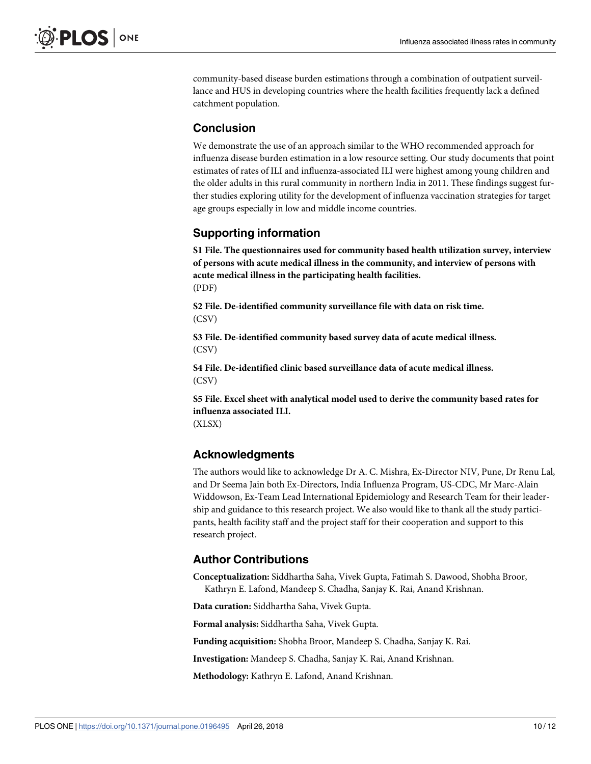<span id="page-9-0"></span>community-based disease burden estimations through a combination of outpatient surveillance and HUS in developing countries where the health facilities frequently lack a defined catchment population.

#### **Conclusion**

We demonstrate the use of an approach similar to the WHO recommended approach for influenza disease burden estimation in a low resource setting. Our study documents that point estimates of rates of ILI and influenza-associated ILI were highest among young children and the older adults in this rural community in northern India in 2011. These findings suggest further studies exploring utility for the development of influenza vaccination strategies for target age groups especially in low and middle income countries.

# **Supporting information**

**[S1 File.](http://www.plosone.org/article/fetchSingleRepresentation.action?uri=info:doi/10.1371/journal.pone.0196495.s001) The questionnaires used for community based health utilization survey, interview of persons with acute medical illness in the community, and interview of persons with acute medical illness in the participating health facilities.** (PDF)

**[S2 File.](http://www.plosone.org/article/fetchSingleRepresentation.action?uri=info:doi/10.1371/journal.pone.0196495.s002) De-identified community surveillance file with data on risk time.** (CSV)

**[S3 File.](http://www.plosone.org/article/fetchSingleRepresentation.action?uri=info:doi/10.1371/journal.pone.0196495.s003) De-identified community based survey data of acute medical illness.** (CSV)

**[S4 File.](http://www.plosone.org/article/fetchSingleRepresentation.action?uri=info:doi/10.1371/journal.pone.0196495.s004) De-identified clinic based surveillance data of acute medical illness.** (CSV)

**[S5 File.](http://www.plosone.org/article/fetchSingleRepresentation.action?uri=info:doi/10.1371/journal.pone.0196495.s005) Excel sheet with analytical model used to derive the community based rates for influenza associated ILI.** (XLSX)

## **Acknowledgments**

The authors would like to acknowledge Dr A. C. Mishra, Ex-Director NIV, Pune, Dr Renu Lal, and Dr Seema Jain both Ex-Directors, India Influenza Program, US-CDC, Mr Marc-Alain Widdowson, Ex-Team Lead International Epidemiology and Research Team for their leadership and guidance to this research project. We also would like to thank all the study participants, health facility staff and the project staff for their cooperation and support to this research project.

## **Author Contributions**

**Conceptualization:** Siddhartha Saha, Vivek Gupta, Fatimah S. Dawood, Shobha Broor, Kathryn E. Lafond, Mandeep S. Chadha, Sanjay K. Rai, Anand Krishnan.

**Data curation:** Siddhartha Saha, Vivek Gupta.

**Formal analysis:** Siddhartha Saha, Vivek Gupta.

**Funding acquisition:** Shobha Broor, Mandeep S. Chadha, Sanjay K. Rai.

**Investigation:** Mandeep S. Chadha, Sanjay K. Rai, Anand Krishnan.

**Methodology:** Kathryn E. Lafond, Anand Krishnan.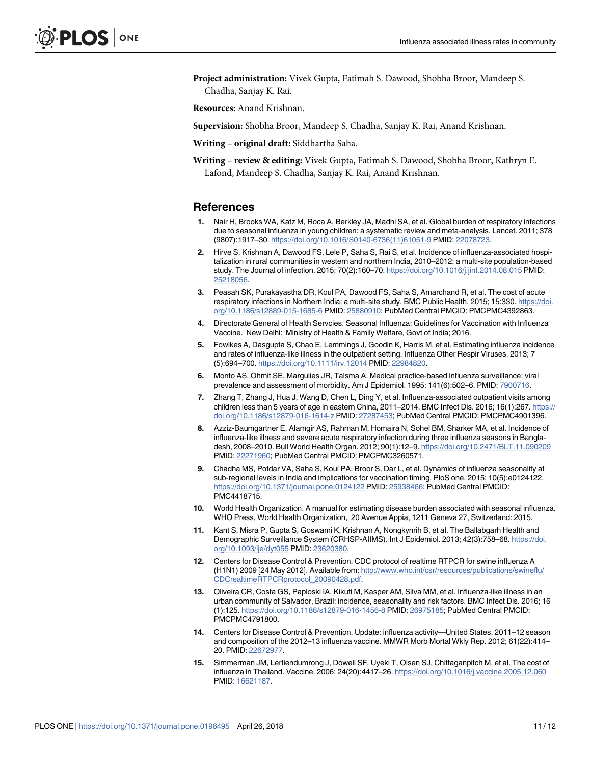<span id="page-10-0"></span>**Project administration:** Vivek Gupta, Fatimah S. Dawood, Shobha Broor, Mandeep S. Chadha, Sanjay K. Rai.

**Resources:** Anand Krishnan.

**Supervision:** Shobha Broor, Mandeep S. Chadha, Sanjay K. Rai, Anand Krishnan.

**Writing – original draft:** Siddhartha Saha.

**Writing – review & editing:** Vivek Gupta, Fatimah S. Dawood, Shobha Broor, Kathryn E. Lafond, Mandeep S. Chadha, Sanjay K. Rai, Anand Krishnan.

#### **References**

- **[1](#page-1-0).** Nair H, Brooks WA, Katz M, Roca A, Berkley JA, Madhi SA, et al. Global burden of respiratory infections due to seasonal influenza in young children: a systematic review and meta-analysis. Lancet. 2011; 378 (9807):1917–30. [https://doi.org/10.1016/S0140-6736\(11\)61051-9](https://doi.org/10.1016/S0140-6736(11)61051-9) PMID: [22078723](http://www.ncbi.nlm.nih.gov/pubmed/22078723).
- **[2](#page-1-0).** Hirve S, Krishnan A, Dawood FS, Lele P, Saha S, Rai S, et al. Incidence of influenza-associated hospitalization in rural communities in western and northern India, 2010–2012: a multi-site population-based study. The Journal of infection. 2015; 70(2):160–70. <https://doi.org/10.1016/j.jinf.2014.08.015> PMID: [25218056](http://www.ncbi.nlm.nih.gov/pubmed/25218056).
- **[3](#page-1-0).** Peasah SK, Purakayastha DR, Koul PA, Dawood FS, Saha S, Amarchand R, et al. The cost of acute respiratory infections in Northern India: a multi-site study. BMC Public Health. 2015; 15:330. [https://doi.](https://doi.org/10.1186/s12889-015-1685-6) [org/10.1186/s12889-015-1685-6](https://doi.org/10.1186/s12889-015-1685-6) PMID: [25880910;](http://www.ncbi.nlm.nih.gov/pubmed/25880910) PubMed Central PMCID: PMCPMC4392863.
- **[4](#page-1-0).** Directorate General of Health Servcies. Seasonal Influenza: Guidelines for Vaccination with Influenza Vaccine. New Delhi: Ministry of Health & Family Welfare, Govt of India; 2016.
- **[5](#page-1-0).** Fowlkes A, Dasgupta S, Chao E, Lemmings J, Goodin K, Harris M, et al. Estimating influenza incidence and rates of influenza-like illness in the outpatient setting. Influenza Other Respir Viruses. 2013; 7 (5):694–700. <https://doi.org/10.1111/irv.12014> PMID: [22984820](http://www.ncbi.nlm.nih.gov/pubmed/22984820).
- **[6](#page-1-0).** Monto AS, Ohmit SE, Margulies JR, Talsma A. Medical practice-based influenza surveillance: viral prevalence and assessment of morbidity. Am J Epidemiol. 1995; 141(6):502–6. PMID: [7900716.](http://www.ncbi.nlm.nih.gov/pubmed/7900716)
- **[7](#page-1-0).** Zhang T, Zhang J, Hua J, Wang D, Chen L, Ding Y, et al. Influenza-associated outpatient visits among children less than 5 years of age in eastern China, 2011–2014. BMC Infect Dis. 2016; 16(1):267. [https://](https://doi.org/10.1186/s12879-016-1614-z) [doi.org/10.1186/s12879-016-1614-z](https://doi.org/10.1186/s12879-016-1614-z) PMID: [27287453;](http://www.ncbi.nlm.nih.gov/pubmed/27287453) PubMed Central PMCID: PMCPMC4901396.
- **[8](#page-1-0).** Azziz-Baumgartner E, Alamgir AS, Rahman M, Homaira N, Sohel BM, Sharker MA, et al. Incidence of influenza-like illness and severe acute respiratory infection during three influenza seasons in Bangladesh, 2008–2010. Bull World Health Organ. 2012; 90(1):12–9. <https://doi.org/10.2471/BLT.11.090209> PMID: [22271960](http://www.ncbi.nlm.nih.gov/pubmed/22271960); PubMed Central PMCID: PMCPMC3260571.
- **[9](#page-1-0).** Chadha MS, Potdar VA, Saha S, Koul PA, Broor S, Dar L, et al. Dynamics of influenza seasonality at sub-regional levels in India and implications for vaccination timing. PloS one. 2015; 10(5):e0124122. <https://doi.org/10.1371/journal.pone.0124122> PMID: [25938466](http://www.ncbi.nlm.nih.gov/pubmed/25938466); PubMed Central PMCID: PMC4418715.
- **[10](#page-1-0).** World Health Organization. A manual for estimating disease burden associated with seasonal influenza. WHO Press, World Health Organization, 20 Avenue Appia, 1211 Geneva 27, Switzerland: 2015.
- **[11](#page-1-0).** Kant S, Misra P, Gupta S, Goswami K, Krishnan A, Nongkynrih B, et al. The Ballabgarh Health and Demographic Surveillance System (CRHSP-AIIMS). Int J Epidemiol. 2013; 42(3):758–68. [https://doi.](https://doi.org/10.1093/ije/dyt055) [org/10.1093/ije/dyt055](https://doi.org/10.1093/ije/dyt055) PMID: [23620380.](http://www.ncbi.nlm.nih.gov/pubmed/23620380)
- **[12](#page-2-0).** Centers for Disease Control & Prevention. CDC protocol of realtime RTPCR for swine influenza A (H1N1) 2009 [24 May 2012]. Available from: [http://www.who.int/csr/resources/publications/swineflu/](http://www.who.int/csr/resources/publications/swineflu/CDCrealtimeRTPCRprotocol_20090428.pdf) [CDCrealtimeRTPCRprotocol\\_20090428.pdf](http://www.who.int/csr/resources/publications/swineflu/CDCrealtimeRTPCRprotocol_20090428.pdf).
- **[13](#page-5-0).** Oliveira CR, Costa GS, Paploski IA, Kikuti M, Kasper AM, Silva MM, et al. Influenza-like illness in an urban community of Salvador, Brazil: incidence, seasonality and risk factors. BMC Infect Dis. 2016; 16 (1):125. <https://doi.org/10.1186/s12879-016-1456-8> PMID: [26975185;](http://www.ncbi.nlm.nih.gov/pubmed/26975185) PubMed Central PMCID: PMCPMC4791800.
- **[14](#page-5-0).** Centers for Disease Control & Prevention. Update: influenza activity—United States, 2011–12 season and composition of the 2012–13 influenza vaccine. MMWR Morb Mortal Wkly Rep. 2012; 61(22):414– 20. PMID: [22672977.](http://www.ncbi.nlm.nih.gov/pubmed/22672977)
- **[15](#page-5-0).** Simmerman JM, Lertiendumrong J, Dowell SF, Uyeki T, Olsen SJ, Chittaganpitch M, et al. The cost of influenza in Thailand. Vaccine. 2006; 24(20):4417–26. <https://doi.org/10.1016/j.vaccine.2005.12.060> PMID: [16621187](http://www.ncbi.nlm.nih.gov/pubmed/16621187).